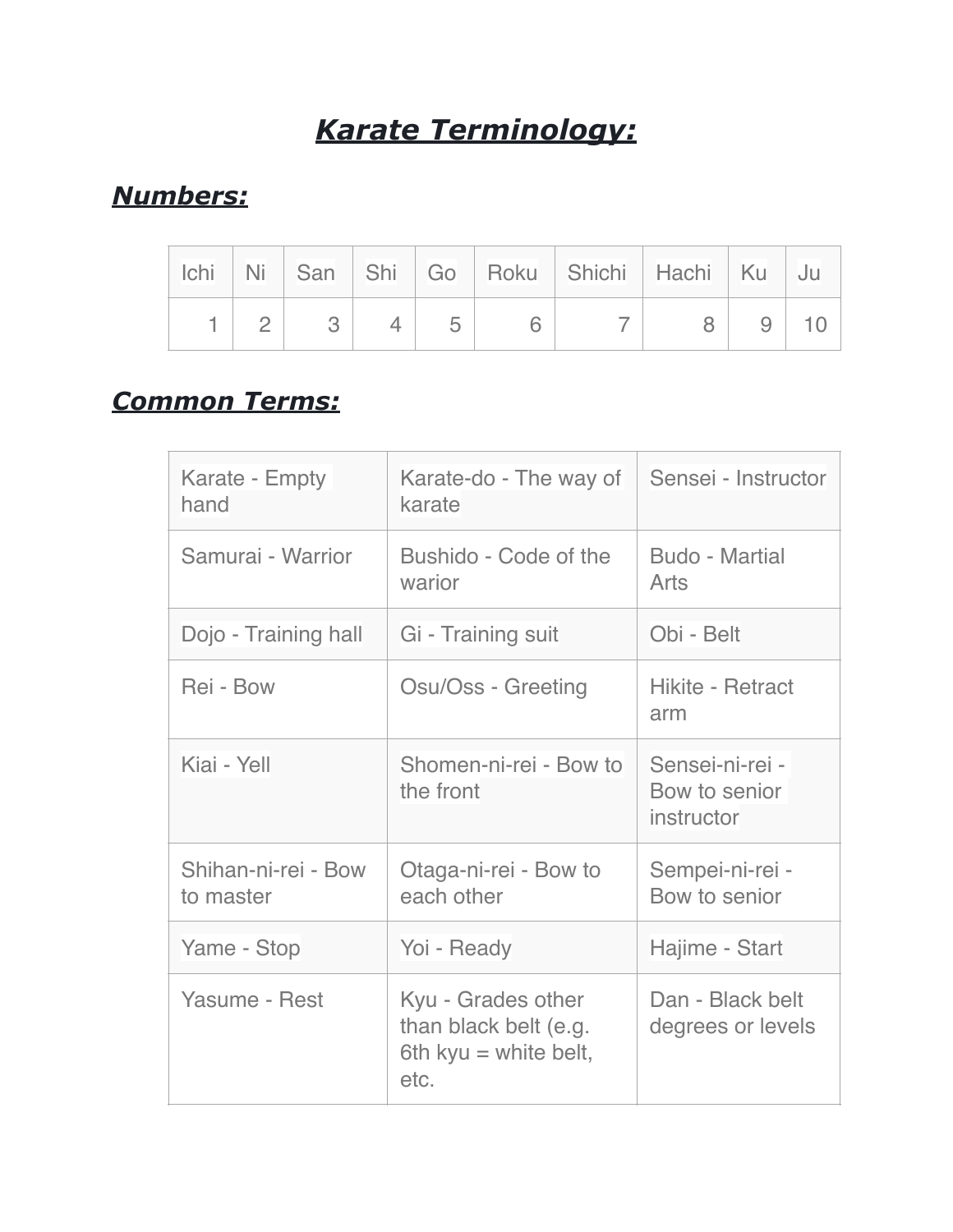# *Karate Terminology:*

# *Numbers:*

|  |  |  | Ichi Ni San Shi Go Roku Shichi Hachi Ku |   | ⊢Jul |
|--|--|--|-----------------------------------------|---|------|
|  |  |  |                                         | 9 |      |

# *Common Terms:*

| Karate - Empty<br>hand           | Karate-do - The way of<br>karate                                             | Sensei - Instructor                            |  |
|----------------------------------|------------------------------------------------------------------------------|------------------------------------------------|--|
| Samurai - Warrior                | Bushido - Code of the<br>warior                                              | <b>Budo - Martial</b><br>Arts                  |  |
| Dojo - Training hall             | Gi - Training suit                                                           | Obi - Belt                                     |  |
| Rei - Bow                        | Osu/Oss - Greeting                                                           | Hikite - Retract<br>arm                        |  |
| Kiai - Yell                      | Shomen-ni-rei - Bow to<br>the front                                          | Sensei-ni-rei -<br>Bow to senior<br>instructor |  |
| Shihan-ni-rei - Bow<br>to master | Otaga-ni-rei - Bow to<br>each other                                          | Sempei-ni-rei -<br>Bow to senior               |  |
| Yame - Stop                      | Yoi - Ready                                                                  | Hajime - Start                                 |  |
| Yasume - Rest                    | Kyu - Grades other<br>than black belt (e.g.<br>6th kyu = white belt,<br>etc. | Dan - Black belt<br>degrees or levels          |  |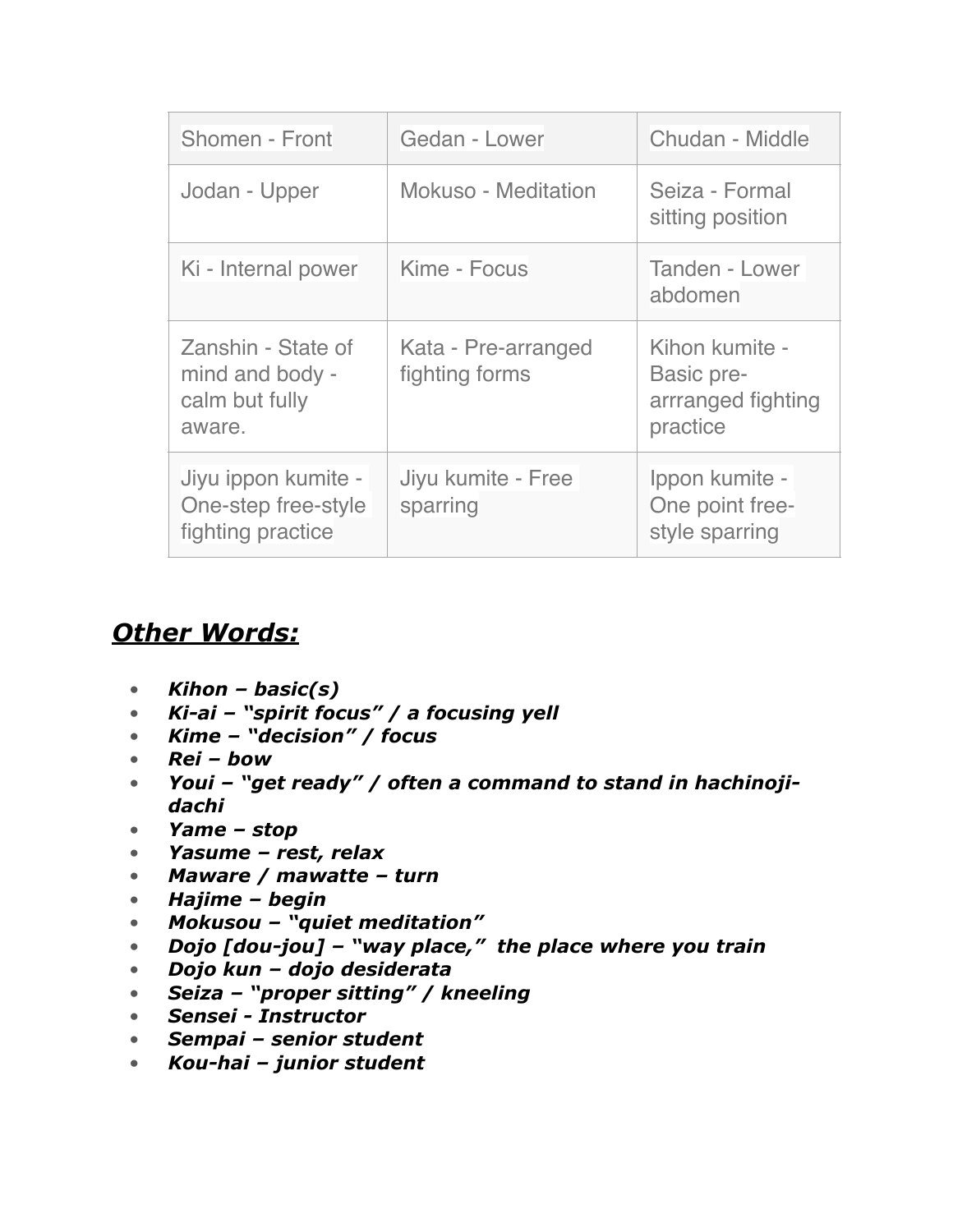| Shomen - Front                                                    | Gedan - Lower                         | Chudan - Middle                                                |  |
|-------------------------------------------------------------------|---------------------------------------|----------------------------------------------------------------|--|
| Jodan - Upper                                                     | Mokuso - Meditation                   | Seiza - Formal<br>sitting position                             |  |
| Ki - Internal power                                               | Kime - Focus                          | <b>Tanden - Lower</b><br>abdomen                               |  |
| Zanshin - State of<br>mind and body -<br>calm but fully<br>aware. | Kata - Pre-arranged<br>fighting forms | Kihon kumite -<br>Basic pre-<br>arrranged fighting<br>practice |  |
| Jiyu ippon kumite -<br>One-step free-style<br>fighting practice   | Jiyu kumite - Free<br>sparring        | Ippon kumite -<br>One point free-<br>style sparring            |  |

### *Other Words:*

- *Kihon basic(s)*
- *Ki-ai "spirit focus" / a focusing yell*
- *Kime "decision" / focus*
- *Rei bow*
- *Youi "get ready" / often a command to stand in hachinojidachi*
- *Yame stop*
- *Yasume rest, relax*
- *Maware / mawatte turn*
- *Hajime begin*
- *Mokusou "quiet meditation"*
- *Dojo [dou-jou] "way place," the place where you train*
- *Dojo kun dojo desiderata*
- *Seiza "proper sitting" / kneeling*
- *Sensei Instructor*
- *Sempai senior student*
- *Kou-hai junior student*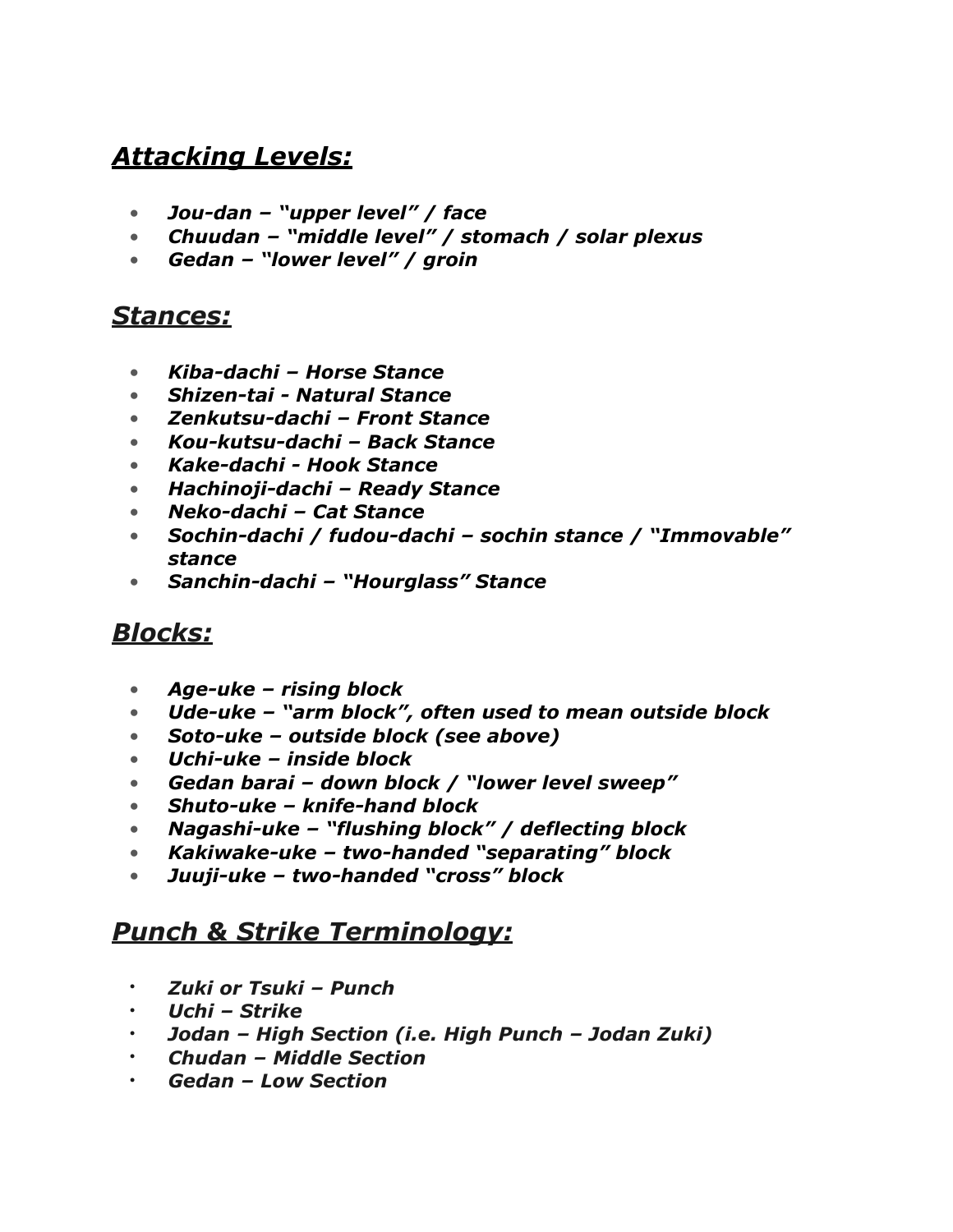### *Attacking Levels:*

- *Jou-dan "upper level" / face*
- *Chuudan "middle level" / stomach / solar plexus*
- *Gedan "lower level" / groin*

#### *Stances:*

- *Kiba-dachi Horse Stance*
- *Shizen-tai Natural Stance*
- *Zenkutsu-dachi Front Stance*
- *Kou-kutsu-dachi Back Stance*
- *Kake-dachi Hook Stance*
- *Hachinoji-dachi Ready Stance*
- *Neko-dachi Cat Stance*
- *Sochin-dachi / fudou-dachi sochin stance / "Immovable" stance*
- *Sanchin-dachi "Hourglass" Stance*

### *Blocks:*

- *Age-uke rising block*
- *Ude-uke "arm block", often used to mean outside block*
- *Soto-uke outside block (see above)*
- *Uchi-uke inside block*
- *Gedan barai down block / "lower level sweep"*
- *Shuto-uke knife-hand block*
- *Nagashi-uke "flushing block" / deflecting block*
- *Kakiwake-uke two-handed "separating" block*
- *Juuji-uke two-handed "cross" block*

### *Punch & Strike Terminology:*

- *Zuki or Tsuki Punch*
- *Uchi Strike*
- *Jodan High Section (i.e. High Punch Jodan Zuki)*
- *Chudan Middle Section*
- *Gedan Low Section*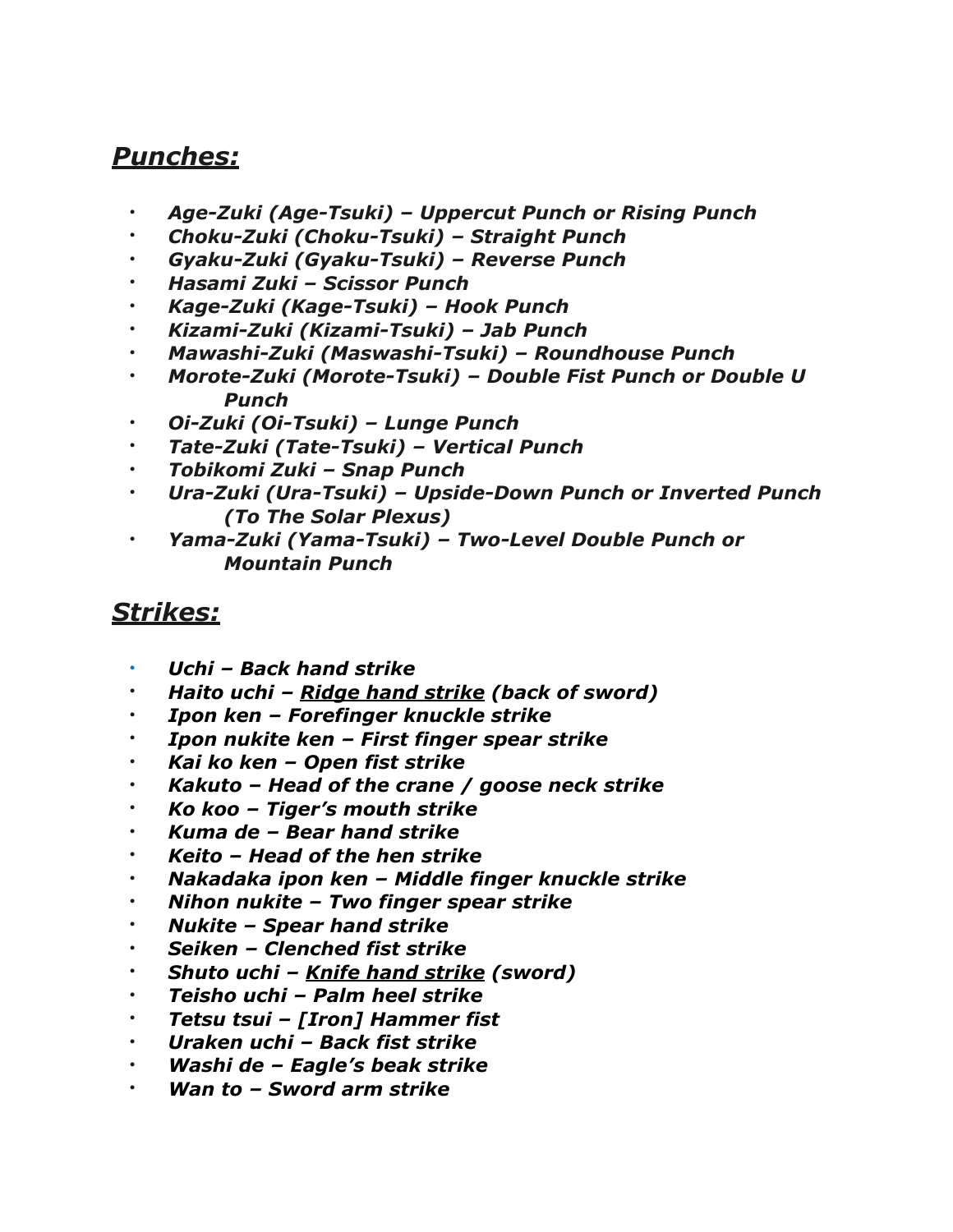#### *Punches:*

- *Age-Zuki (Age-Tsuki) Uppercut Punch or Rising Punch*
- *Choku-Zuki (Choku-Tsuki) Straight Punch*
- *Gyaku-Zuki (Gyaku-Tsuki) Reverse Punch*
- *Hasami Zuki Scissor Punch*
- *Kage-Zuki (Kage-Tsuki) Hook Punch*
- *Kizami-Zuki (Kizami-Tsuki) Jab Punch*
- *Mawashi-Zuki (Maswashi-Tsuki) Roundhouse Punch*
- *Morote-Zuki (Morote-Tsuki) Double Fist Punch or Double U Punch*
- *Oi-Zuki (Oi-Tsuki) Lunge Punch*
- *Tate-Zuki (Tate-Tsuki) Vertical Punch*
- *Tobikomi Zuki Snap Punch*
- *Ura-Zuki (Ura-Tsuki) Upside-Down Punch or Inverted Punch (To The Solar Plexus)*
- *Yama-Zuki (Yama-Tsuki) Two-Level Double Punch or Mountain Punch*

#### *Strikes:*

- *Uchi – [Back hand strike](https://blackbeltwiki.com/back-hand-strike)*
- *Haito uchi [Ridge hand strike](https://blackbeltwiki.com/ridge-hand-strike) (back of sword)*
- *Ipon ken Forefinger knuckle strike*
- *Ipon nukite ken First finger spear strike*
- *Kai ko ken Open fist strike*
- *Kakuto Head of the crane / goose neck strike*
- *Ko koo Tiger's mouth strike*
- *Kuma de Bear hand strike*
- *Keito Head of the hen strike*
- *Nakadaka ipon ken Middle finger knuckle strike*
- *Nihon nukite Two finger spear strike*
- *Nukite Spear hand strike*
- *Seiken Clenched fist strike*
- *Shuto uchi – [Knife hand strike](https://blackbeltwiki.com/knife-hand-strike) (sword)*
- *Teisho uchi – [Palm heel strike](https://blackbeltwiki.com/palm-strike)*
- *Tetsu tsui [Iron] [Hammer fist](https://blackbeltwiki.com/hammer-fist)*
- *Uraken uchi – [Back fist strike](https://blackbeltwiki.com/back-fist)*
- *Washi de Eagle's beak strike*
- *Wan to Sword arm strike*